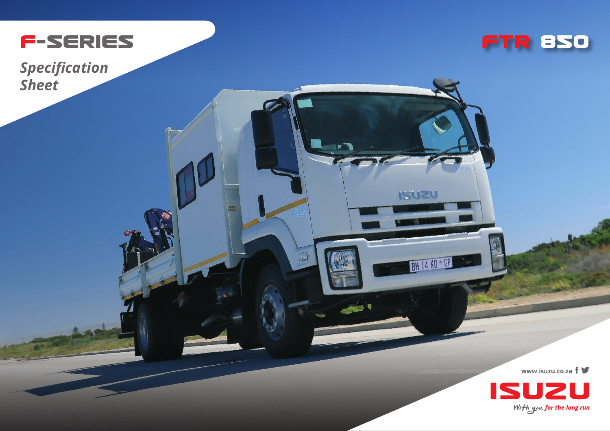

*Specification Sheet*



**USUZI** 

**BH 14 KD + GP** 

D

**www.isuzu.co.za**